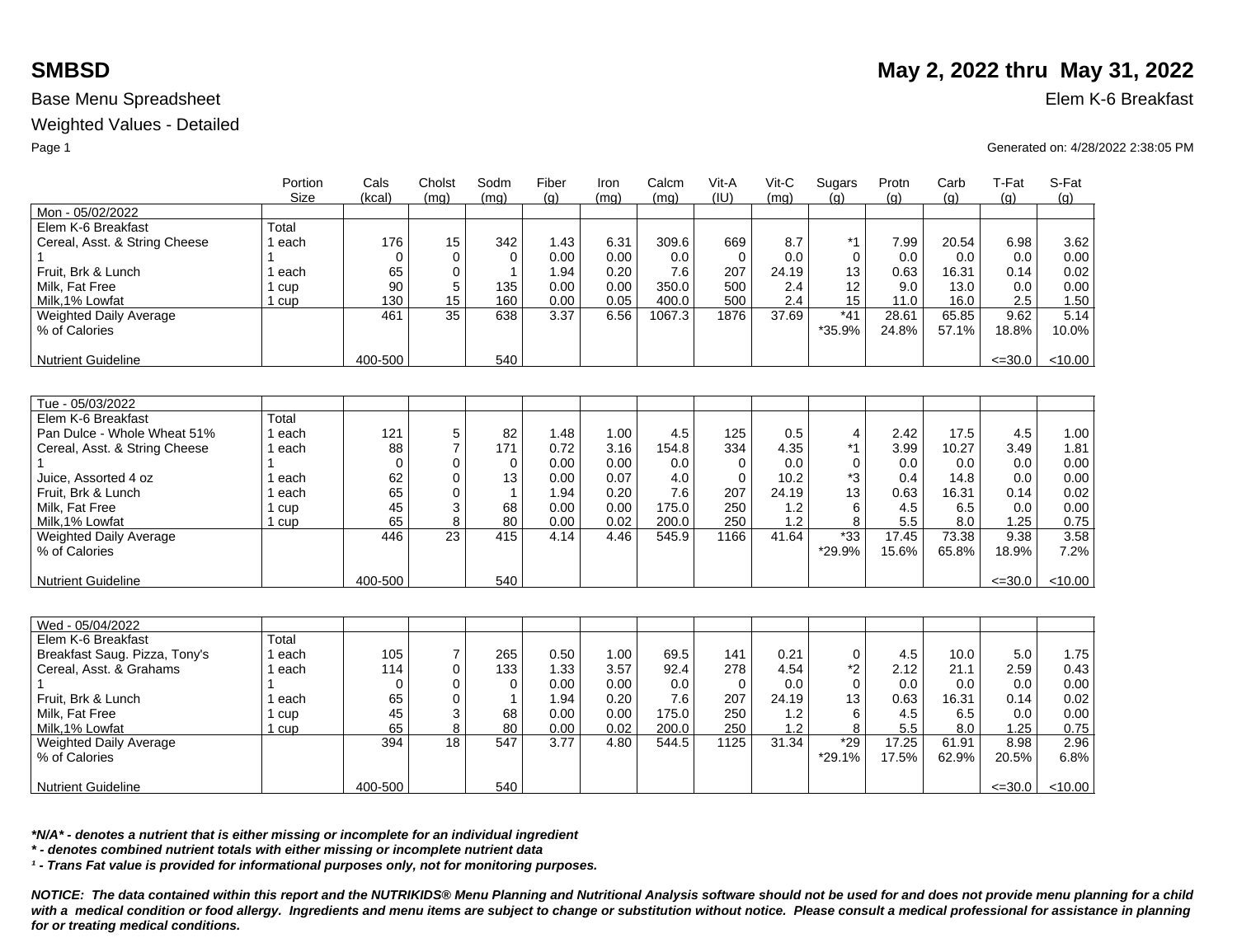### Weighted Values - Detailed

|                                         | Portion     | Cals        | Cholst         | Sodm         | Fiber | Iron | Calcm  | Vit-A       | Vit-C | Sugars          | Protn          | Carb           | T-Fat         | S-Fat         |
|-----------------------------------------|-------------|-------------|----------------|--------------|-------|------|--------|-------------|-------|-----------------|----------------|----------------|---------------|---------------|
|                                         | <b>Size</b> | (kcal)      | (mq)           | (mq)         | (q)   | (mq) | (mq)   | (IU)        | (mq)  | (a)             | (q)            | (q)            | (q)           | (g)           |
| Mon - 05/02/2022                        |             |             |                |              |       |      |        |             |       |                 |                |                |               |               |
| Elem K-6 Breakfast                      | Total       |             |                |              |       |      |        |             |       |                 |                |                |               |               |
| Cereal, Asst. & String Cheese           | 1 each      | 176         | 15             | 342          | 1.43  | 6.31 | 309.6  | 669         | 8.7   | $*1$            | 7.99           | 20.54          | 6.98          | 3.62          |
|                                         |             | $\Omega$    | $\Omega$       | $\mathbf 0$  | 0.00  | 0.00 | 0.0    | $\Omega$    | 0.0   | $\mathbf 0$     | 0.0            | 0.0            | 0.0           | 0.00          |
| Fruit. Brk & Lunch                      | 1 each      | 65          | $\Omega$       | $\mathbf{1}$ | 1.94  | 0.20 | 7.6    | 207         | 24.19 | 13              | 0.63           | 16.31          | 0.14          | 0.02          |
| Milk. Fat Free                          | 1 cup       | 90          | 5              | 135          | 0.00  | 0.00 | 350.0  | 500         | 2.4   | 12              | 9.0            | 13.0           | 0.0           | 0.00          |
| Milk.1% Lowfat                          | 1 cup       | 130         | 15             | 160          | 0.00  | 0.05 | 400.0  | 500         | 2.4   | 15              | 11.0           | 16.0           | 2.5           | 1.50          |
| Weighted Daily Average<br>% of Calories |             | 461         | 35             | 638          | 3.37  | 6.56 | 1067.3 | 1876        | 37.69 | $*41$<br>*35.9% | 28.61<br>24.8% | 65.85<br>57.1% | 9.62<br>18.8% | 5.14<br>10.0% |
|                                         |             |             |                |              |       |      |        |             |       |                 |                |                |               |               |
| <b>Nutrient Guideline</b>               |             | 400-500     |                | 540          |       |      |        |             |       |                 |                |                | $\leq 30.0$   | < 10.00       |
|                                         |             |             |                |              |       |      |        |             |       |                 |                |                |               |               |
| Tue - 05/03/2022                        |             |             |                |              |       |      |        |             |       |                 |                |                |               |               |
| Elem K-6 Breakfast                      | Total       |             |                |              |       |      |        |             |       |                 |                |                |               |               |
| Pan Dulce - Whole Wheat 51%             | 1 each      | 121         | 5              | 82           | 1.48  | 1.00 | 4.5    | 125         | 0.5   | $\overline{4}$  | 2.42           | 17.5           | 4.5           | 1.00          |
| Cereal, Asst. & String Cheese           | 1 each      | 88          | $\overline{7}$ | 171          | 0.72  | 3.16 | 154.8  | 334         | 4.35  | *1              | 3.99           | 10.27          | 3.49          | 1.81          |
|                                         |             | $\Omega$    | $\Omega$       | $\mathbf 0$  | 0.00  | 0.00 | 0.0    | $\Omega$    | 0.0   | $\Omega$        | 0.0            | 0.0            | 0.0           | 0.00          |
| Juice, Assorted 4 oz                    | 1 each      | 62          | $\mathbf 0$    | 13           | 0.00  | 0.07 | 4.0    | $\mathbf 0$ | 10.2  | *3              | 0.4            | 14.8           | 0.0           | 0.00          |
| Fruit, Brk & Lunch                      | 1 each      | 65          | $\Omega$       | $\mathbf{1}$ | 1.94  | 0.20 | 7.6    | 207         | 24.19 | 13              | 0.63           | 16.31          | 0.14          | 0.02          |
| Milk. Fat Free                          | 1 cup       | 45          | 3              | 68           | 0.00  | 0.00 | 175.0  | 250         | 1.2   | 6               | 4.5            | 6.5            | 0.0           | 0.00          |
| Milk.1% Lowfat                          | 1 cup       | 65          | 8              | 80           | 0.00  | 0.02 | 200.0  | 250         | 1.2   | 8               | 5.5            | 8.0            | 1.25          | 0.75          |
| Weighted Daily Average                  |             | 446         | 23             | 415          | 4.14  | 4.46 | 545.9  | 1166        | 41.64 | $*33$           | 17.45          | 73.38          | 9.38          | 3.58          |
| % of Calories                           |             |             |                |              |       |      |        |             |       | *29.9%          | 15.6%          | 65.8%          | 18.9%         | 7.2%          |
|                                         |             |             |                |              |       |      |        |             |       |                 |                |                |               |               |
| <b>Nutrient Guideline</b>               |             | 400-500     |                | 540          |       |      |        |             |       |                 |                |                | $\leq 30.0$   | < 10.00       |
|                                         |             |             |                |              |       |      |        |             |       |                 |                |                |               |               |
| Wed - 05/04/2022                        |             |             |                |              |       |      |        |             |       |                 |                |                |               |               |
| Elem K-6 Breakfast                      | Total       |             |                |              |       |      |        |             |       |                 |                |                |               |               |
| Breakfast Saug. Pizza, Tony's           | 1 each      | 105         | $\overline{7}$ | 265          | 0.50  | 1.00 | 69.5   | 141         | 0.21  | $\mathbf 0$     | 4.5            | 10.0           | 5.0           | 1.75          |
| Cereal, Asst. & Grahams                 | 1 each      | 114         | $\Omega$       | 133          | 1.33  | 3.57 | 92.4   | 278         | 4.54  | *2              | 2.12           | 21.1           | 2.59          | 0.43          |
|                                         |             | $\mathbf 0$ | $\mathbf 0$    | $\mathbf 0$  | 0.00  | 0.00 | 0.0    | 0           | 0.0   | $\mathbf 0$     | 0.0            | 0.0            | 0.0           | 0.00          |
| Fruit, Brk & Lunch                      | 1 each      | 65          | $\Omega$       | $\mathbf{1}$ | 1.94  | 0.20 | 7.6    | 207         | 24.19 | 13              | 0.63           | 16.31          | 0.14          | 0.02          |
| Milk, Fat Free                          | 1 cup       | 45          | 3              | 68           | 0.00  | 0.00 | 175.0  | 250         | 1.2   | 6               | 4.5            | 6.5            | 0.0           | 0.00          |
| Milk, 1% Lowfat                         | 1 cup       | 65          | 8              | 80           | 0.00  | 0.02 | 200.0  | 250         | 1.2   | 8               | 5.5            | 8.0            | 1.25          | 0.75          |
| <b>Weighted Daily Average</b>           |             | 394         | 18             | 547          | 3.77  | 4.80 | 544.5  | 1125        | 31.34 | $*29$           | 17.25          | 61.91          | 8.98          | 2.96          |
| % of Calories                           |             |             |                |              |       |      |        |             |       | *29.1%          | 17.5%          | 62.9%          | 20.5%         | 6.8%          |
| <b>Nutrient Guideline</b>               |             | 400-500     |                | 540          |       |      |        |             |       |                 |                |                | $\leq 30.0$   | < 10.00       |
|                                         |             |             |                |              |       |      |        |             |       |                 |                |                |               |               |

*\*N/A\* - denotes a nutrient that is either missing or incomplete for an individual ingredient*

*\* - denotes combined nutrient totals with either missing or incomplete nutrient data*

*¹ - Trans Fat value is provided for informational purposes only, not for monitoring purposes.*

*NOTICE: The data contained within this report and the NUTRIKIDS® Menu Planning and Nutritional Analysis software should not be used for and does not provide menu planning for a child*  with a medical condition or food allergy. Ingredients and menu items are subject to change or substitution without notice. Please consult a medical professional for assistance in planning *for or treating medical conditions.*

# **SMBSD** May 2, 2022 thru May 31, 2022

Page 1 Generated on: 4/28/2022 2:38:05 PM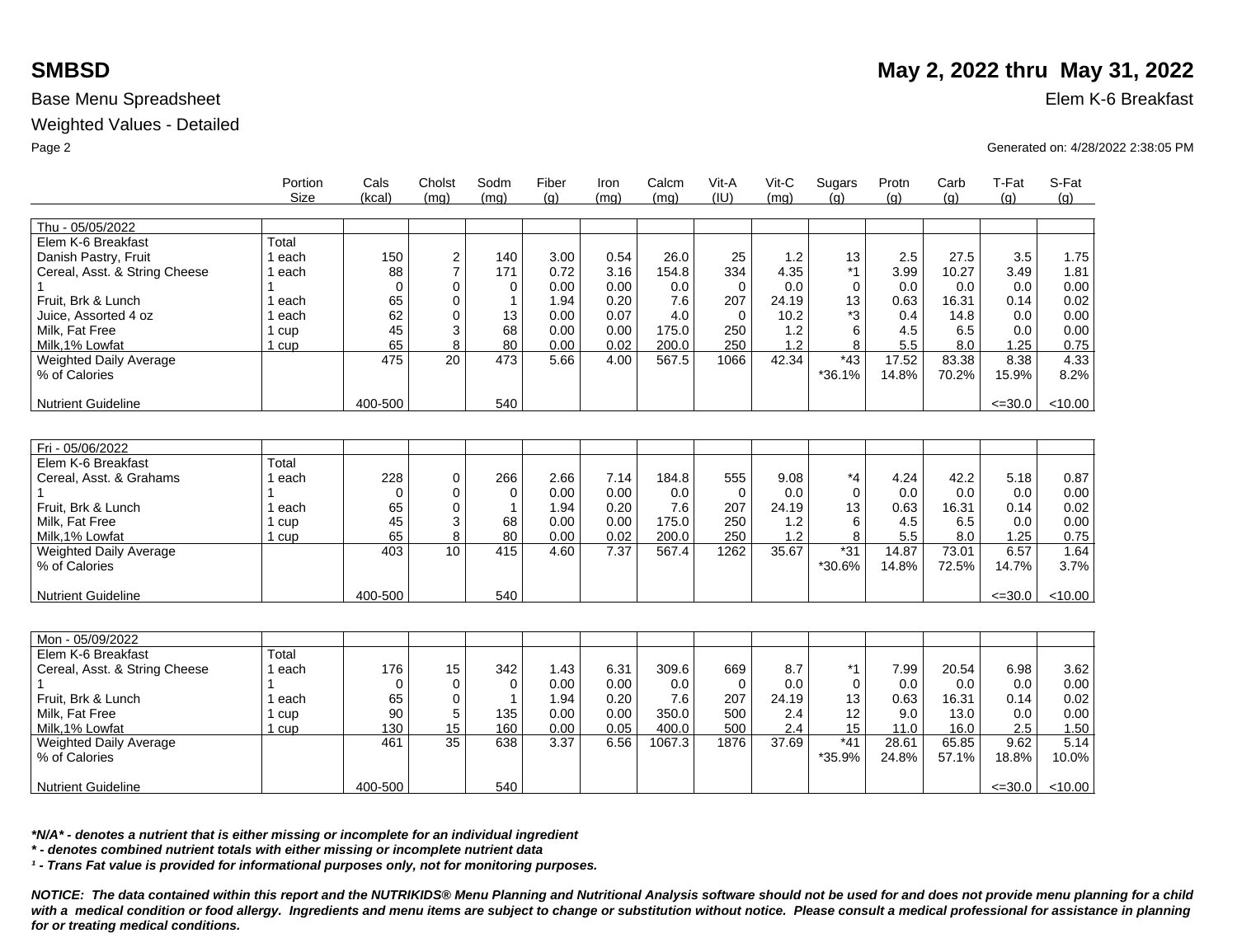### Weighted Values - Detailed

| Thu - 05/05/2022<br>Total<br>Elem K-6 Breakfast<br>$\overline{c}$<br>25<br>1.2<br>13<br>1.75<br>Danish Pastry, Fruit<br>1 each<br>150<br>140<br>3.00<br>0.54<br>26.0<br>2.5<br>27.5<br>3.5<br>$\overline{7}$<br>$*1$<br>88<br>0.72<br>3.16<br>334<br>4.35<br>3.99<br>3.49<br>1.81<br>Cereal, Asst. & String Cheese<br>1 each<br>171<br>154.8<br>10.27<br>$\mathbf 0$<br>0.00<br>0.0<br>$\mathbf 0$<br>0.00<br>0<br>0.00<br>0.0<br>0<br>0.0<br>0.0<br>0.0<br>0<br>Fruit. Brk & Lunch<br>65<br>$\Omega$<br>0.20<br>24.19<br>0.63<br>0.02<br>1.94<br>7.6<br>207<br>13<br>16.31<br>0.14<br>1 each<br>1<br>*3<br>62<br>$\mathbf 0$<br>0.00<br>0.07<br>4.0<br>10.2<br>Juice. Assorted 4 oz<br>13<br>$\mathbf 0$<br>0.4<br>14.8<br>0.0<br>0.00<br>1 each<br>$\sqrt{3}$<br>45<br>68<br>1.2<br>Milk. Fat Free<br>0.00<br>0.00<br>175.0<br>250<br>6<br>4.5<br>6.5<br>0.0<br>0.00<br>1 cup<br>1.2<br>Milk, 1% Lowfat<br>65<br>8<br>80<br>0.02<br>200.0<br>250<br>8<br>5.5<br>1.25<br>$1$ cup<br>0.00<br>8.0<br>0.75<br>20<br>42.34<br>$*43$<br>17.52<br>83.38<br>8.38<br>4.33<br>Weighted Daily Average<br>475<br>473<br>5.66<br>4.00<br>567.5<br>1066<br>$*36.1%$<br>% of Calories<br>14.8%<br>70.2%<br>15.9%<br>8.2%<br>400-500<br>540<br>< 10.00<br><b>Nutrient Guideline</b><br>$\leq 30.0$<br>Fri - 05/06/2022<br>Elem K-6 Breakfast<br>Total<br>228<br>7.14<br>*4<br>Cereal, Asst. & Grahams<br>1 each<br>$\mathbf 0$<br>266<br>2.66<br>184.8<br>555<br>9.08<br>4.24<br>42.2<br>5.18<br>0.87<br>$\mathbf 0$<br>0.00<br>0.00<br>0.0<br>$\mathbf 0$<br>0.0<br>0.0<br>0.0<br>0.00<br>$\Omega$<br>0.0<br>$\Omega$<br>$\Omega$<br>Fruit, Brk & Lunch<br>7.6<br>65<br>0<br>0.20<br>207<br>0.63<br>0.02<br>1.94<br>24.19<br>13<br>16.31<br>0.14<br>1 each<br>1<br>3<br>0.00<br>Milk, Fat Free<br>45<br>0.00<br>175.0<br>1.2<br>6<br>0.00<br>68<br>250<br>4.5<br>6.5<br>0.0<br>1 cup<br>8<br>65<br>80<br>0.02<br>200.0<br>1.2<br>8<br>5.5<br>Milk, 1% Lowfat<br>0.00<br>250<br>8.0<br>1.25<br>0.75<br>1 <sub>cup</sub><br>10 <sup>1</sup><br>$*31$<br>403<br>415<br>7.37<br>1262<br>35.67<br>14.87<br>73.01<br>6.57<br>1.64<br>Weighted Daily Average<br>4.60<br>567.4 | Portion<br>Size | Cals<br>(kcal) | Cholst<br>(mq) | Sodm<br>(mq) | Fiber<br>(q) | Iron<br>(mq) | Calcm<br>(mq) | Vit-A<br>(IU) | Vit-C<br>(mq) | Sugars<br>(q) | Protn<br>(q) | Carb<br>(q) | T-Fat<br>(q) | S-Fat<br>(g) |
|-----------------------------------------------------------------------------------------------------------------------------------------------------------------------------------------------------------------------------------------------------------------------------------------------------------------------------------------------------------------------------------------------------------------------------------------------------------------------------------------------------------------------------------------------------------------------------------------------------------------------------------------------------------------------------------------------------------------------------------------------------------------------------------------------------------------------------------------------------------------------------------------------------------------------------------------------------------------------------------------------------------------------------------------------------------------------------------------------------------------------------------------------------------------------------------------------------------------------------------------------------------------------------------------------------------------------------------------------------------------------------------------------------------------------------------------------------------------------------------------------------------------------------------------------------------------------------------------------------------------------------------------------------------------------------------------------------------------------------------------------------------------------------------------------------------------------------------------------------------------------------------------------------------------------------------------------------------------------------------------------------------------------------------------------------------------------------------------------------------------------------------------------------------|-----------------|----------------|----------------|--------------|--------------|--------------|---------------|---------------|---------------|---------------|--------------|-------------|--------------|--------------|
|                                                                                                                                                                                                                                                                                                                                                                                                                                                                                                                                                                                                                                                                                                                                                                                                                                                                                                                                                                                                                                                                                                                                                                                                                                                                                                                                                                                                                                                                                                                                                                                                                                                                                                                                                                                                                                                                                                                                                                                                                                                                                                                                                           |                 |                |                |              |              |              |               |               |               |               |              |             |              |              |
|                                                                                                                                                                                                                                                                                                                                                                                                                                                                                                                                                                                                                                                                                                                                                                                                                                                                                                                                                                                                                                                                                                                                                                                                                                                                                                                                                                                                                                                                                                                                                                                                                                                                                                                                                                                                                                                                                                                                                                                                                                                                                                                                                           |                 |                |                |              |              |              |               |               |               |               |              |             |              |              |
|                                                                                                                                                                                                                                                                                                                                                                                                                                                                                                                                                                                                                                                                                                                                                                                                                                                                                                                                                                                                                                                                                                                                                                                                                                                                                                                                                                                                                                                                                                                                                                                                                                                                                                                                                                                                                                                                                                                                                                                                                                                                                                                                                           |                 |                |                |              |              |              |               |               |               |               |              |             |              |              |
|                                                                                                                                                                                                                                                                                                                                                                                                                                                                                                                                                                                                                                                                                                                                                                                                                                                                                                                                                                                                                                                                                                                                                                                                                                                                                                                                                                                                                                                                                                                                                                                                                                                                                                                                                                                                                                                                                                                                                                                                                                                                                                                                                           |                 |                |                |              |              |              |               |               |               |               |              |             |              |              |
|                                                                                                                                                                                                                                                                                                                                                                                                                                                                                                                                                                                                                                                                                                                                                                                                                                                                                                                                                                                                                                                                                                                                                                                                                                                                                                                                                                                                                                                                                                                                                                                                                                                                                                                                                                                                                                                                                                                                                                                                                                                                                                                                                           |                 |                |                |              |              |              |               |               |               |               |              |             |              |              |
|                                                                                                                                                                                                                                                                                                                                                                                                                                                                                                                                                                                                                                                                                                                                                                                                                                                                                                                                                                                                                                                                                                                                                                                                                                                                                                                                                                                                                                                                                                                                                                                                                                                                                                                                                                                                                                                                                                                                                                                                                                                                                                                                                           |                 |                |                |              |              |              |               |               |               |               |              |             |              |              |
|                                                                                                                                                                                                                                                                                                                                                                                                                                                                                                                                                                                                                                                                                                                                                                                                                                                                                                                                                                                                                                                                                                                                                                                                                                                                                                                                                                                                                                                                                                                                                                                                                                                                                                                                                                                                                                                                                                                                                                                                                                                                                                                                                           |                 |                |                |              |              |              |               |               |               |               |              |             |              |              |
|                                                                                                                                                                                                                                                                                                                                                                                                                                                                                                                                                                                                                                                                                                                                                                                                                                                                                                                                                                                                                                                                                                                                                                                                                                                                                                                                                                                                                                                                                                                                                                                                                                                                                                                                                                                                                                                                                                                                                                                                                                                                                                                                                           |                 |                |                |              |              |              |               |               |               |               |              |             |              |              |
|                                                                                                                                                                                                                                                                                                                                                                                                                                                                                                                                                                                                                                                                                                                                                                                                                                                                                                                                                                                                                                                                                                                                                                                                                                                                                                                                                                                                                                                                                                                                                                                                                                                                                                                                                                                                                                                                                                                                                                                                                                                                                                                                                           |                 |                |                |              |              |              |               |               |               |               |              |             |              |              |
|                                                                                                                                                                                                                                                                                                                                                                                                                                                                                                                                                                                                                                                                                                                                                                                                                                                                                                                                                                                                                                                                                                                                                                                                                                                                                                                                                                                                                                                                                                                                                                                                                                                                                                                                                                                                                                                                                                                                                                                                                                                                                                                                                           |                 |                |                |              |              |              |               |               |               |               |              |             |              |              |
|                                                                                                                                                                                                                                                                                                                                                                                                                                                                                                                                                                                                                                                                                                                                                                                                                                                                                                                                                                                                                                                                                                                                                                                                                                                                                                                                                                                                                                                                                                                                                                                                                                                                                                                                                                                                                                                                                                                                                                                                                                                                                                                                                           |                 |                |                |              |              |              |               |               |               |               |              |             |              |              |
|                                                                                                                                                                                                                                                                                                                                                                                                                                                                                                                                                                                                                                                                                                                                                                                                                                                                                                                                                                                                                                                                                                                                                                                                                                                                                                                                                                                                                                                                                                                                                                                                                                                                                                                                                                                                                                                                                                                                                                                                                                                                                                                                                           |                 |                |                |              |              |              |               |               |               |               |              |             |              |              |
|                                                                                                                                                                                                                                                                                                                                                                                                                                                                                                                                                                                                                                                                                                                                                                                                                                                                                                                                                                                                                                                                                                                                                                                                                                                                                                                                                                                                                                                                                                                                                                                                                                                                                                                                                                                                                                                                                                                                                                                                                                                                                                                                                           |                 |                |                |              |              |              |               |               |               |               |              |             |              |              |
|                                                                                                                                                                                                                                                                                                                                                                                                                                                                                                                                                                                                                                                                                                                                                                                                                                                                                                                                                                                                                                                                                                                                                                                                                                                                                                                                                                                                                                                                                                                                                                                                                                                                                                                                                                                                                                                                                                                                                                                                                                                                                                                                                           |                 |                |                |              |              |              |               |               |               |               |              |             |              |              |
|                                                                                                                                                                                                                                                                                                                                                                                                                                                                                                                                                                                                                                                                                                                                                                                                                                                                                                                                                                                                                                                                                                                                                                                                                                                                                                                                                                                                                                                                                                                                                                                                                                                                                                                                                                                                                                                                                                                                                                                                                                                                                                                                                           |                 |                |                |              |              |              |               |               |               |               |              |             |              |              |
|                                                                                                                                                                                                                                                                                                                                                                                                                                                                                                                                                                                                                                                                                                                                                                                                                                                                                                                                                                                                                                                                                                                                                                                                                                                                                                                                                                                                                                                                                                                                                                                                                                                                                                                                                                                                                                                                                                                                                                                                                                                                                                                                                           |                 |                |                |              |              |              |               |               |               |               |              |             |              |              |
|                                                                                                                                                                                                                                                                                                                                                                                                                                                                                                                                                                                                                                                                                                                                                                                                                                                                                                                                                                                                                                                                                                                                                                                                                                                                                                                                                                                                                                                                                                                                                                                                                                                                                                                                                                                                                                                                                                                                                                                                                                                                                                                                                           |                 |                |                |              |              |              |               |               |               |               |              |             |              |              |
|                                                                                                                                                                                                                                                                                                                                                                                                                                                                                                                                                                                                                                                                                                                                                                                                                                                                                                                                                                                                                                                                                                                                                                                                                                                                                                                                                                                                                                                                                                                                                                                                                                                                                                                                                                                                                                                                                                                                                                                                                                                                                                                                                           |                 |                |                |              |              |              |               |               |               |               |              |             |              |              |
|                                                                                                                                                                                                                                                                                                                                                                                                                                                                                                                                                                                                                                                                                                                                                                                                                                                                                                                                                                                                                                                                                                                                                                                                                                                                                                                                                                                                                                                                                                                                                                                                                                                                                                                                                                                                                                                                                                                                                                                                                                                                                                                                                           |                 |                |                |              |              |              |               |               |               |               |              |             |              |              |
|                                                                                                                                                                                                                                                                                                                                                                                                                                                                                                                                                                                                                                                                                                                                                                                                                                                                                                                                                                                                                                                                                                                                                                                                                                                                                                                                                                                                                                                                                                                                                                                                                                                                                                                                                                                                                                                                                                                                                                                                                                                                                                                                                           |                 |                |                |              |              |              |               |               |               |               |              |             |              |              |
|                                                                                                                                                                                                                                                                                                                                                                                                                                                                                                                                                                                                                                                                                                                                                                                                                                                                                                                                                                                                                                                                                                                                                                                                                                                                                                                                                                                                                                                                                                                                                                                                                                                                                                                                                                                                                                                                                                                                                                                                                                                                                                                                                           |                 |                |                |              |              |              |               |               |               |               |              |             |              |              |
|                                                                                                                                                                                                                                                                                                                                                                                                                                                                                                                                                                                                                                                                                                                                                                                                                                                                                                                                                                                                                                                                                                                                                                                                                                                                                                                                                                                                                                                                                                                                                                                                                                                                                                                                                                                                                                                                                                                                                                                                                                                                                                                                                           |                 |                |                |              |              |              |               |               |               |               |              |             |              |              |
|                                                                                                                                                                                                                                                                                                                                                                                                                                                                                                                                                                                                                                                                                                                                                                                                                                                                                                                                                                                                                                                                                                                                                                                                                                                                                                                                                                                                                                                                                                                                                                                                                                                                                                                                                                                                                                                                                                                                                                                                                                                                                                                                                           |                 |                |                |              |              |              |               |               |               |               |              |             |              |              |
|                                                                                                                                                                                                                                                                                                                                                                                                                                                                                                                                                                                                                                                                                                                                                                                                                                                                                                                                                                                                                                                                                                                                                                                                                                                                                                                                                                                                                                                                                                                                                                                                                                                                                                                                                                                                                                                                                                                                                                                                                                                                                                                                                           |                 |                |                |              |              |              |               |               |               |               |              |             |              |              |
| *30.6%<br>3.7%<br>% of Calories<br>14.8%<br>72.5%<br>14.7%                                                                                                                                                                                                                                                                                                                                                                                                                                                                                                                                                                                                                                                                                                                                                                                                                                                                                                                                                                                                                                                                                                                                                                                                                                                                                                                                                                                                                                                                                                                                                                                                                                                                                                                                                                                                                                                                                                                                                                                                                                                                                                |                 |                |                |              |              |              |               |               |               |               |              |             |              |              |
| 400-500<br>540<br>< 10.00<br><b>Nutrient Guideline</b><br>$\leq 30.0$                                                                                                                                                                                                                                                                                                                                                                                                                                                                                                                                                                                                                                                                                                                                                                                                                                                                                                                                                                                                                                                                                                                                                                                                                                                                                                                                                                                                                                                                                                                                                                                                                                                                                                                                                                                                                                                                                                                                                                                                                                                                                     |                 |                |                |              |              |              |               |               |               |               |              |             |              |              |
|                                                                                                                                                                                                                                                                                                                                                                                                                                                                                                                                                                                                                                                                                                                                                                                                                                                                                                                                                                                                                                                                                                                                                                                                                                                                                                                                                                                                                                                                                                                                                                                                                                                                                                                                                                                                                                                                                                                                                                                                                                                                                                                                                           |                 |                |                |              |              |              |               |               |               |               |              |             |              |              |
|                                                                                                                                                                                                                                                                                                                                                                                                                                                                                                                                                                                                                                                                                                                                                                                                                                                                                                                                                                                                                                                                                                                                                                                                                                                                                                                                                                                                                                                                                                                                                                                                                                                                                                                                                                                                                                                                                                                                                                                                                                                                                                                                                           |                 |                |                |              |              |              |               |               |               |               |              |             |              |              |
| Mon - 05/09/2022                                                                                                                                                                                                                                                                                                                                                                                                                                                                                                                                                                                                                                                                                                                                                                                                                                                                                                                                                                                                                                                                                                                                                                                                                                                                                                                                                                                                                                                                                                                                                                                                                                                                                                                                                                                                                                                                                                                                                                                                                                                                                                                                          |                 |                |                |              |              |              |               |               |               |               |              |             |              |              |
| Elem K-6 Breakfast<br>Total                                                                                                                                                                                                                                                                                                                                                                                                                                                                                                                                                                                                                                                                                                                                                                                                                                                                                                                                                                                                                                                                                                                                                                                                                                                                                                                                                                                                                                                                                                                                                                                                                                                                                                                                                                                                                                                                                                                                                                                                                                                                                                                               |                 |                |                |              |              |              |               |               |               |               |              |             |              |              |
| $*1$<br>176<br>342<br>6.31<br>309.6<br>8.7<br>3.62<br>Cereal, Asst. & String Cheese<br>1 each<br>15<br>1.43<br>669<br>7.99<br>20.54<br>6.98                                                                                                                                                                                                                                                                                                                                                                                                                                                                                                                                                                                                                                                                                                                                                                                                                                                                                                                                                                                                                                                                                                                                                                                                                                                                                                                                                                                                                                                                                                                                                                                                                                                                                                                                                                                                                                                                                                                                                                                                               |                 |                |                |              |              |              |               |               |               |               |              |             |              |              |
| $\mathbf 0$<br>0.00<br>0.00<br>$\mathbf 0$<br>0.0<br>$\mathbf 0$<br>0.0<br>0.00<br>0<br>0.0<br>0.0<br>0.0<br>$\Omega$                                                                                                                                                                                                                                                                                                                                                                                                                                                                                                                                                                                                                                                                                                                                                                                                                                                                                                                                                                                                                                                                                                                                                                                                                                                                                                                                                                                                                                                                                                                                                                                                                                                                                                                                                                                                                                                                                                                                                                                                                                     |                 |                |                |              |              |              |               |               |               |               |              |             |              |              |
| 7.6<br>207<br>Fruit, Brk & Lunch<br>65<br>0<br>1.94<br>0.20<br>24.19<br>13<br>0.63<br>16.31<br>0.14<br>0.02<br>1 each<br>$\mathbf 1$                                                                                                                                                                                                                                                                                                                                                                                                                                                                                                                                                                                                                                                                                                                                                                                                                                                                                                                                                                                                                                                                                                                                                                                                                                                                                                                                                                                                                                                                                                                                                                                                                                                                                                                                                                                                                                                                                                                                                                                                                      |                 |                |                |              |              |              |               |               |               |               |              |             |              |              |
| 5<br>0.00<br>0.00<br>12<br>Milk, Fat Free<br>90<br>135<br>350.0<br>500<br>2.4<br>9.0<br>13.0<br>0.0<br>0.00<br>1 cup                                                                                                                                                                                                                                                                                                                                                                                                                                                                                                                                                                                                                                                                                                                                                                                                                                                                                                                                                                                                                                                                                                                                                                                                                                                                                                                                                                                                                                                                                                                                                                                                                                                                                                                                                                                                                                                                                                                                                                                                                                      |                 |                |                |              |              |              |               |               |               |               |              |             |              |              |
| 15<br>15<br>130<br>160<br>0.00<br>0.05<br>400.0<br>500<br>2.4<br>11.0<br>2.5<br>Milk.1% Lowfat<br>16.0<br>1.50<br>1 cup                                                                                                                                                                                                                                                                                                                                                                                                                                                                                                                                                                                                                                                                                                                                                                                                                                                                                                                                                                                                                                                                                                                                                                                                                                                                                                                                                                                                                                                                                                                                                                                                                                                                                                                                                                                                                                                                                                                                                                                                                                   |                 |                |                |              |              |              |               |               |               |               |              |             |              |              |
| 35<br>37.69<br>461<br>638<br>3.37<br>6.56<br>1067.3<br>1876<br>$*41$<br>28.61<br>65.85<br>9.62<br>5.14<br>Weighted Daily Average                                                                                                                                                                                                                                                                                                                                                                                                                                                                                                                                                                                                                                                                                                                                                                                                                                                                                                                                                                                                                                                                                                                                                                                                                                                                                                                                                                                                                                                                                                                                                                                                                                                                                                                                                                                                                                                                                                                                                                                                                          |                 |                |                |              |              |              |               |               |               |               |              |             |              |              |
|                                                                                                                                                                                                                                                                                                                                                                                                                                                                                                                                                                                                                                                                                                                                                                                                                                                                                                                                                                                                                                                                                                                                                                                                                                                                                                                                                                                                                                                                                                                                                                                                                                                                                                                                                                                                                                                                                                                                                                                                                                                                                                                                                           |                 |                |                |              |              |              |               |               |               |               |              |             |              |              |
| % of Calories<br>*35.9%<br>18.8%<br>10.0%<br>24.8%<br>57.1%                                                                                                                                                                                                                                                                                                                                                                                                                                                                                                                                                                                                                                                                                                                                                                                                                                                                                                                                                                                                                                                                                                                                                                                                                                                                                                                                                                                                                                                                                                                                                                                                                                                                                                                                                                                                                                                                                                                                                                                                                                                                                               |                 |                |                |              |              |              |               |               |               |               |              |             |              |              |
| 400-500<br>540<br>$\leq 30.0$<br>< 10.00<br><b>Nutrient Guideline</b>                                                                                                                                                                                                                                                                                                                                                                                                                                                                                                                                                                                                                                                                                                                                                                                                                                                                                                                                                                                                                                                                                                                                                                                                                                                                                                                                                                                                                                                                                                                                                                                                                                                                                                                                                                                                                                                                                                                                                                                                                                                                                     |                 |                |                |              |              |              |               |               |               |               |              |             |              |              |

*\*N/A\* - denotes a nutrient that is either missing or incomplete for an individual ingredient*

*\* - denotes combined nutrient totals with either missing or incomplete nutrient data*

*¹ - Trans Fat value is provided for informational purposes only, not for monitoring purposes.*

*NOTICE: The data contained within this report and the NUTRIKIDS® Menu Planning and Nutritional Analysis software should not be used for and does not provide menu planning for a child*  with a medical condition or food allergy. Ingredients and menu items are subject to change or substitution without notice. Please consult a medical professional for assistance in planning *for or treating medical conditions.*

# **SMBSD** May 2, 2022 thru May 31, 2022

Page 2 Generated on: 4/28/2022 2:38:05 PM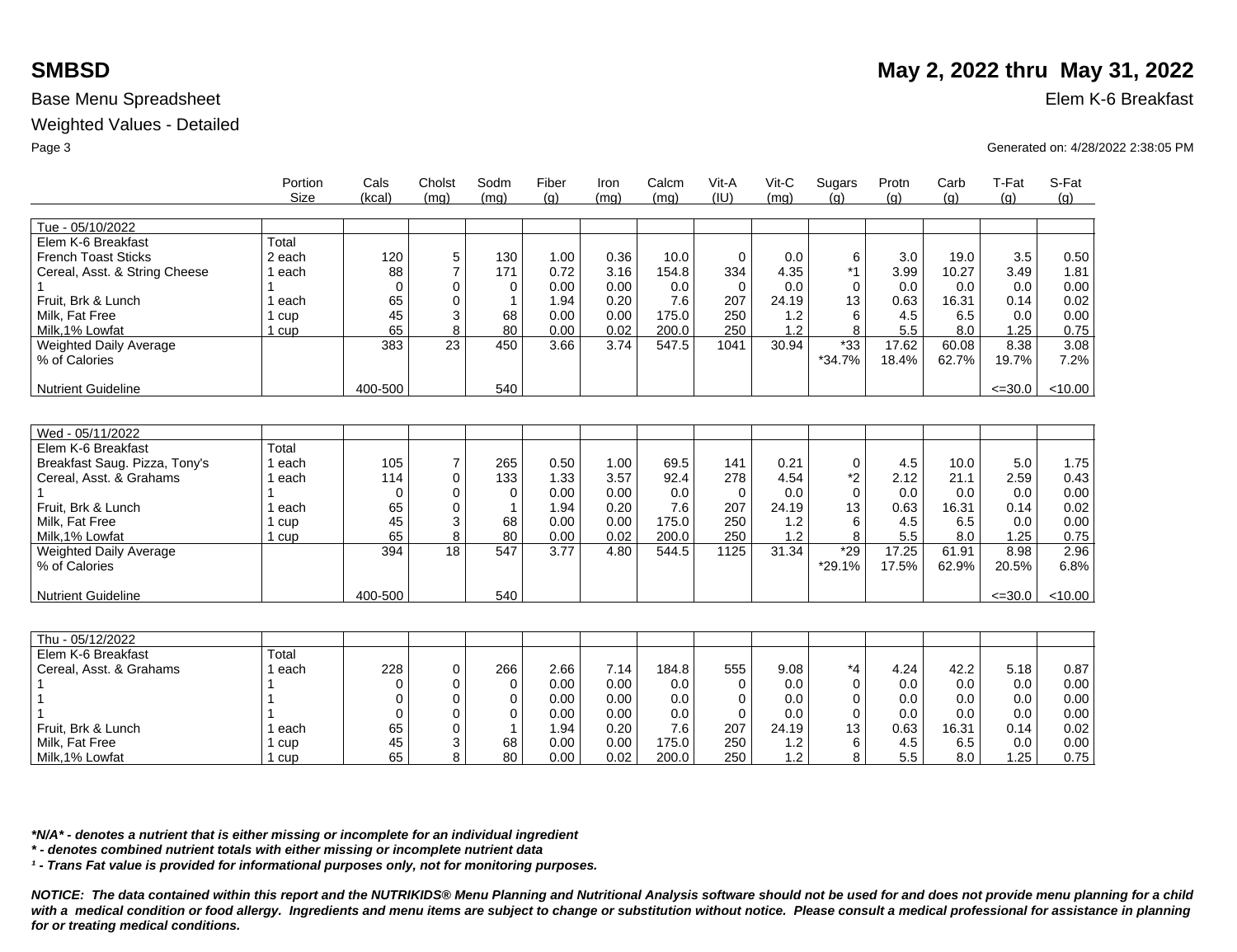### Weighted Values - Detailed

|                                                  | Portion<br><b>Size</b> | Cals<br>(kcal)    | Cholst<br>(ma)      | Sodm<br>(ma) | Fiber<br>(q) | Iron<br>(mq) | Calcm<br>(mq) | Vit-A<br>(IU)   | Vit-C<br>(mq) | Sugars<br>(a)     | Protn<br>(q)   | Carb<br>(q)    | T-Fat<br>(g)  | S-Fat<br>(g) |
|--------------------------------------------------|------------------------|-------------------|---------------------|--------------|--------------|--------------|---------------|-----------------|---------------|-------------------|----------------|----------------|---------------|--------------|
| Tue - 05/10/2022                                 |                        |                   |                     |              |              |              |               |                 |               |                   |                |                |               |              |
| Elem K-6 Breakfast<br><b>French Toast Sticks</b> | Total<br>2 each        | 120               | 5                   | 130          | 1.00         | 0.36         | 10.0          | $\Omega$        | 0.0           | 6                 | 3.0            | 19.0           | 3.5           | 0.50         |
| Cereal, Asst. & String Cheese                    | 1 each                 | 88<br>$\mathbf 0$ | $\overline{7}$<br>0 | 171<br>0     | 0.72<br>0.00 | 3.16<br>0.00 | 154.8<br>0.0  | 334<br>$\Omega$ | 4.35<br>0.0   | $*1$<br>$\Omega$  | 3.99<br>0.0    | 10.27<br>0.0   | 3.49<br>0.0   | 1.81<br>0.00 |
| Fruit, Brk & Lunch                               | ∣ each                 | 65                | 0                   | 1            | 1.94         | 0.20         | 7.6           | 207             | 24.19         | 13                | 0.63           | 16.31          | 0.14          | 0.02         |
| Milk, Fat Free                                   | 1 cup                  | 45                | 3                   | 68           | 0.00         | 0.00         | 175.0         | 250             | 1.2           | 6                 | 4.5            | 6.5            | 0.0           | 0.00         |
| Milk, 1% Lowfat                                  | 1 cup                  | 65                | 8                   | 80           | 0.00         | 0.02         | 200.0         | 250             | 1.2           | 8                 | 5.5            | 8.0            | 1.25          | 0.75         |
| <b>Weighted Daily Average</b><br>% of Calories   |                        | 383               | 23                  | 450          | 3.66         | 3.74         | 547.5         | 1041            | 30.94         | $*33$<br>$*34.7%$ | 17.62<br>18.4% | 60.08<br>62.7% | 8.38<br>19.7% | 3.08<br>7.2% |
| <b>Nutrient Guideline</b>                        |                        | 400-500           |                     | 540          |              |              |               |                 |               |                   |                |                | $\leq 30.0$   | < 10.00      |
|                                                  |                        |                   |                     |              |              |              |               |                 |               |                   |                |                |               |              |
| Wed - 05/11/2022                                 |                        |                   |                     |              |              |              |               |                 |               |                   |                |                |               |              |
| Elem K-6 Breakfast                               | Total                  |                   |                     |              |              |              |               |                 |               |                   |                |                |               |              |
| Breakfast Saug. Pizza, Tony's                    | l each                 | 105               | $\overline{7}$      | 265          | 0.50         | 1.00         | 69.5          | 141             | 0.21          | 0                 | 4.5            | 10.0           | 5.0           | 1.75         |
| Cereal, Asst. & Grahams                          | 1 each                 | 114               | $\mathbf 0$         | 133          | 1.33         | 3.57         | 92.4          | 278             | 4.54          | *2                | 2.12           | 21.1           | 2.59          | 0.43         |
|                                                  |                        | $\Omega$          | 0                   | 0            | 0.00         | 0.00         | 0.0           | $\Omega$        | 0.0           | $\Omega$          | 0.0            | 0.0            | 0.0           | 0.00         |
| Fruit, Brk & Lunch                               | l each                 | 65                | 0                   | -1           | 1.94         | 0.20         | 7.6           | 207             | 24.19         | 13                | 0.63           | 16.31          | 0.14          | 0.02         |
| Milk. Fat Free                                   | 1 cup                  | 45                | 3                   | 68           | 0.00         | 0.00         | 175.0         | 250             | 1.2           | 6                 | 4.5            | 6.5            | 0.0           | 0.00         |
| Milk, 1% Lowfat                                  | 1 cup                  | 65                | 8                   | 80           | 0.00         | 0.02         | 200.0         | 250             | 1.2           | 8                 | 5.5            | 8.0            | 1.25          | 0.75         |
| Weighted Daily Average<br>% of Calories          |                        | 394               | 18                  | 547          | 3.77         | 4.80         | 544.5         | 1125            | 31.34         | $*29$<br>*29.1%   | 17.25<br>17.5% | 61.91<br>62.9% | 8.98<br>20.5% | 2.96<br>6.8% |
| <b>Nutrient Guideline</b>                        |                        | 400-500           |                     | 540          |              |              |               |                 |               |                   |                |                | $\leq 30.0$   | < 10.00      |
|                                                  |                        |                   |                     |              |              |              |               |                 |               |                   |                |                |               |              |
| Thu - 05/12/2022                                 |                        |                   |                     |              |              |              |               |                 |               |                   |                |                |               |              |
| Elem K-6 Breakfast                               | Total                  |                   |                     |              |              |              |               |                 |               |                   |                |                |               |              |
| Cereal, Asst. & Grahams                          | 1 each                 | 228               | 0                   | 266          | 2.66         | 7.14         | 184.8         | 555             | 9.08          | *4                | 4.24           | 42.2           | 5.18          | 0.87         |
|                                                  |                        | 0                 | 0                   | 0            | 0.00         | 0.00         | 0.0           | $\Omega$        | 0.0           | $\Omega$          | 0.0            | 0.0            | 0.0           | 0.00         |
|                                                  |                        | 0                 | 0                   | 0            | 0.00         | 0.00         | 0.0           | 0               | 0.0           | $\Omega$          | 0.0            | 0.0            | 0.0           | 0.00         |
|                                                  |                        | 0                 | 0                   | 0            | 0.00         | 0.00         | 0.0           | $\Omega$        | 0.0           | $\Omega$          | 0.0            | 0.0            | 0.0           | 0.00         |
| Fruit, Brk & Lunch                               | ∣ each                 | 65                | 0                   | 1            | 1.94         | 0.20         | 7.6           | 207             | 24.19         | 13                | 0.63           | 16.31          | 0.14          | 0.02         |
| Milk, Fat Free                                   | 1 cup                  | 45                | 3                   | 68           | 0.00         | 0.00         | 175.0         | 250             | 1.2           | 6                 | 4.5            | 6.5            | 0.0           | 0.00         |
| Milk, 1% Lowfat                                  | 1 cup                  | 65                | 8                   | 80           | 0.00         | 0.02         | 200.0         | 250             | 1.2           | 8                 | 5.5            | 8.0            | 1.25          | 0.75         |

*\*N/A\* - denotes a nutrient that is either missing or incomplete for an individual ingredient*

*\* - denotes combined nutrient totals with either missing or incomplete nutrient data*

*¹ - Trans Fat value is provided for informational purposes only, not for monitoring purposes.*

*NOTICE: The data contained within this report and the NUTRIKIDS® Menu Planning and Nutritional Analysis software should not be used for and does not provide menu planning for a child*  with a medical condition or food allergy. Ingredients and menu items are subject to change or substitution without notice. Please consult a medical professional for assistance in planning *for or treating medical conditions.*

# **SMBSD** May 2, 2022 thru May 31, 2022

Page 3 Generated on: 4/28/2022 2:38:05 PM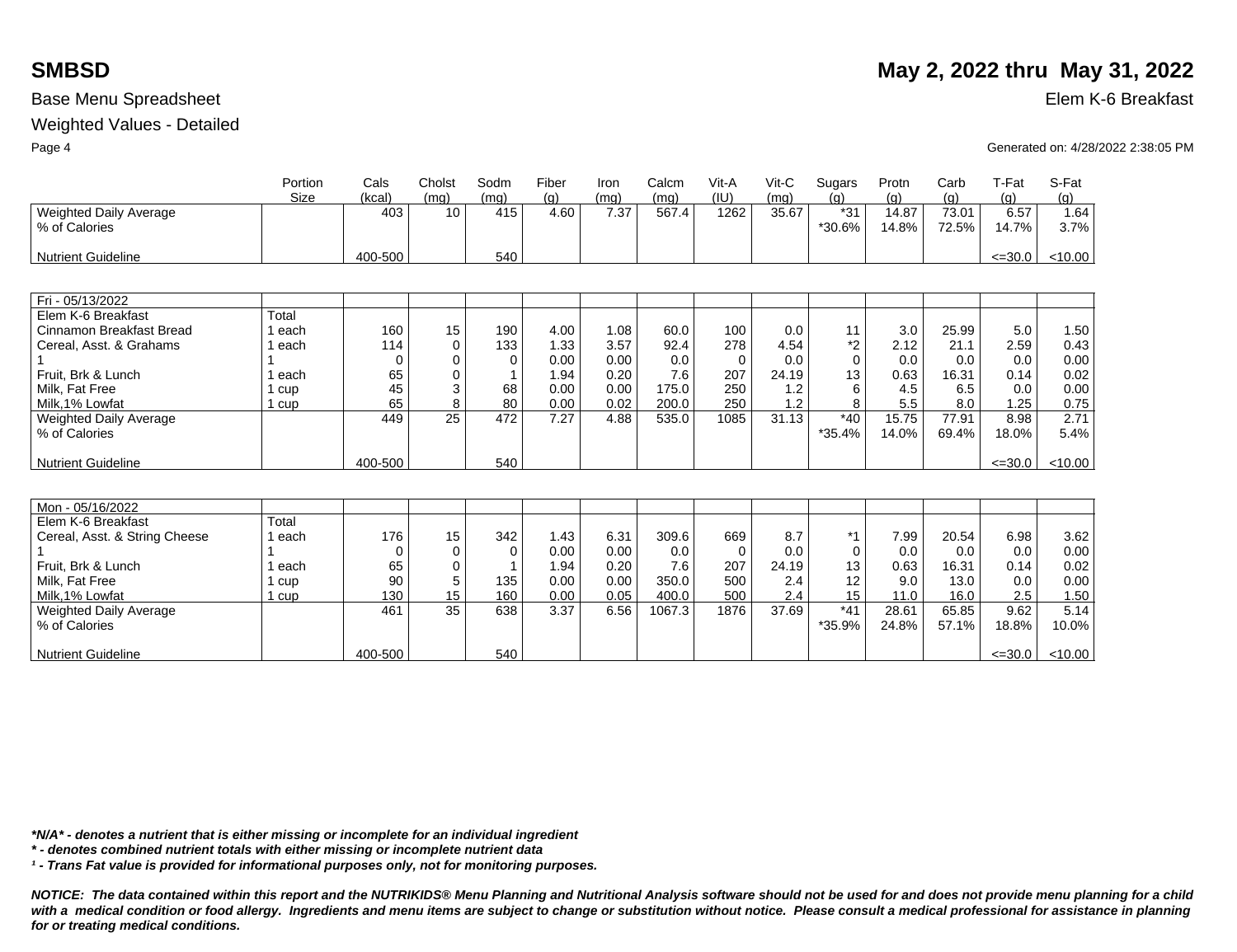### Weighted Values - Detailed

|                                         | Portion<br>Size | Cals<br>(kcal) | Cholst<br>(mq) | Sodm<br>(mq) | Fiber<br>(q) | Iron<br>(mq) | Calcm<br>(mg) | Vit-A<br>(IU) | $V$ it-C<br>(mq) | Sugars<br>(q)   | Protn<br>(q)   | Carb<br>(g)    | T-Fat<br>(q)  | S-Fat<br>(q) |
|-----------------------------------------|-----------------|----------------|----------------|--------------|--------------|--------------|---------------|---------------|------------------|-----------------|----------------|----------------|---------------|--------------|
| Weighted Daily Average<br>% of Calories |                 | 403            | 10             | 415          | 4.60         | 7.37         | 567.4         | 1262          | 35.67            | $*31$<br>*30.6% | 14.87<br>14.8% | 73.01<br>72.5% | 6.57<br>14.7% | 1.64<br>3.7% |
| <b>Nutrient Guideline</b>               |                 | 400-500        |                | 540          |              |              |               |               |                  |                 |                |                | $\leq 30.0$   | < 10.00      |
|                                         |                 |                |                |              |              |              |               |               |                  |                 |                |                |               |              |
| Fri - 05/13/2022                        |                 |                |                |              |              |              |               |               |                  |                 |                |                |               |              |
| Elem K-6 Breakfast                      | Total           |                |                |              |              |              |               |               |                  |                 |                |                |               |              |
| Cinnamon Breakfast Bread                | 1 each          | 160            | 15             | 190          | 4.00         | 1.08         | 60.0          | 100           | 0.0              | 11              | 3.0            | 25.99          | 5.0           | 1.50         |
| Cereal, Asst. & Grahams                 | each            | 114            | $\Omega$       | 133          | 1.33         | 3.57         | 92.4          | 278           | 4.54             | *2              | 2.12           | 21.1           | 2.59          | 0.43         |
|                                         |                 | 0              | $\Omega$       | $\Omega$     | 0.00         | 0.00         | 0.0           | $\Omega$      | 0.0              | $\Omega$        | 0.0            | 0.0            | 0.0           | 0.00         |
| Fruit. Brk & Lunch                      | each            | 65             | $\Omega$       |              | 1.94         | 0.20         | 7.6           | 207           | 24.19            | 13              | 0.63           | 16.31          | 0.14          | 0.02         |
| Milk, Fat Free                          | 1 cup           | 45             | 3              | 68           | 0.00         | 0.00         | 175.0         | 250           | 1.2              | 6               | 4.5            | 6.5            | 0.0           | 0.00         |
| Milk.1% Lowfat                          | 1 cup           | 65             | 8              | 80           | 0.00         | 0.02         | 200.0         | 250           | 1.2              | 8               | 5.5            | 8.0            | 1.25          | 0.75         |
| <b>Weighted Daily Average</b>           |                 | 449            | 25             | 472          | 7.27         | 4.88         | 535.0         | 1085          | 31.13            | $*40$           | 15.75          | 77.91          | 8.98          | 2.71         |
| % of Calories                           |                 |                |                |              |              |              |               |               |                  | *35.4%          | 14.0%          | 69.4%          | 18.0%         | 5.4%         |
| <b>Nutrient Guideline</b>               |                 | 400-500        |                | 540          |              |              |               |               |                  |                 |                |                | $\leq 30.0$   | < 10.00      |
|                                         |                 |                |                |              |              |              |               |               |                  |                 |                |                |               |              |
|                                         |                 |                |                |              |              |              |               |               |                  |                 |                |                |               |              |
| Mon - 05/16/2022                        |                 |                |                |              |              |              |               |               |                  |                 |                |                |               |              |
| Elem K-6 Breakfast                      | Total           |                |                |              |              |              |               |               |                  |                 |                |                |               |              |
| Cereal, Asst. & String Cheese           | 1 each          | 176            | 15             | 342          | 1.43         | 6.31         | 309.6         | 669           | 8.7              | $*1$            | 7.99           | 20.54          | 6.98          | 3.62         |
|                                         |                 | $\Omega$       | 0              | $\Omega$     | 0.00         | 0.00         | 0.0           | 0             | 0.0              | 0               | 0.0            | 0.0            | 0.0           | 0.00         |
| Fruit, Brk & Lunch                      | each            | 65             | $\Omega$       |              | 1.94         | 0.20         | 7.6           | 207           | 24.19            | 13              | 0.63           | 16.31          | 0.14          | 0.02         |
| Milk. Fat Free                          | 1 cup           | 90             | 5              | 135          | 0.00         | 0.00         | 350.0         | 500           | 2.4              | 12              | 9.0            | 13.0           | 0.0           | 0.00         |
| Milk.1% Lowfat                          | 1 cup           | 130            | 15             | 160          | 0.00         | 0.05         | 400.0         | 500           | 2.4              | 15              | 11.0           | 16.0           | 2.5           | 1.50         |
| <b>Weighted Daily Average</b>           |                 | 461            | 35             | 638          | 3.37         | 6.56         | 1067.3        | 1876          | 37.69            | $*41$           | 28.61          | 65.85          | 9.62          | 5.14         |
| % of Calories                           |                 |                |                |              |              |              |               |               |                  | *35.9%          | 24.8%          | 57.1%          | 18.8%         | 10.0%        |
| <b>Nutrient Guideline</b>               |                 | 400-500        |                | 540          |              |              |               |               |                  |                 |                |                | $\leq 30.0$   | < 10.00      |

*\*N/A\* - denotes a nutrient that is either missing or incomplete for an individual ingredient*

*\* - denotes combined nutrient totals with either missing or incomplete nutrient data*

*¹ - Trans Fat value is provided for informational purposes only, not for monitoring purposes.*

*NOTICE: The data contained within this report and the NUTRIKIDS® Menu Planning and Nutritional Analysis software should not be used for and does not provide menu planning for a child*  with a medical condition or food allergy. Ingredients and menu items are subject to change or substitution without notice. Please consult a medical professional for assistance in planning *for or treating medical conditions.*

# **SMBSD** May 2, 2022 thru May 31, 2022

Page 4 Generated on: 4/28/2022 2:38:05 PM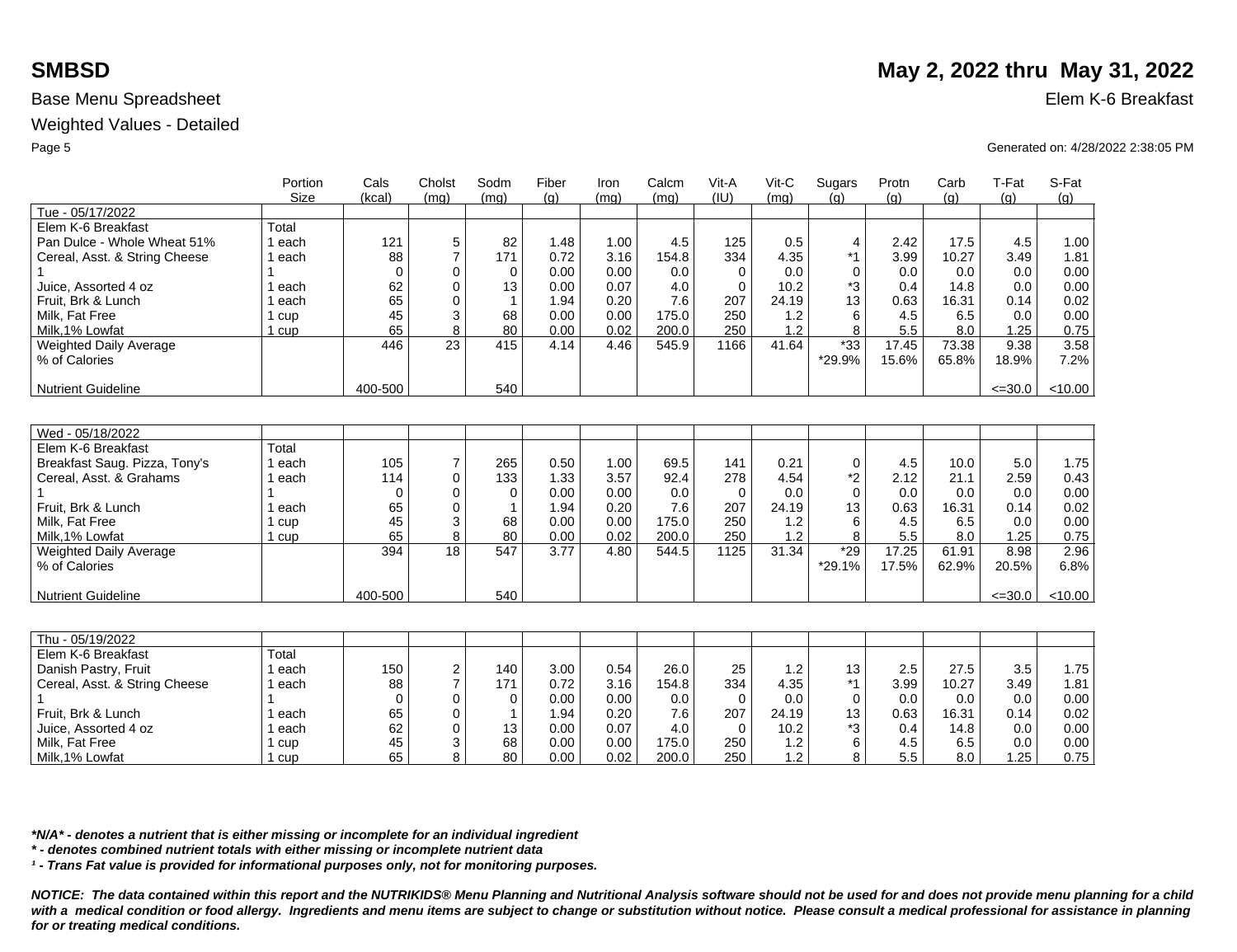Weighted Values - Detailed

|                               | Portion<br>Size | Cals<br>(kcal) | Cholst<br>(mq)   | Sodm<br>(mq) | Fiber<br>(q) | Iron<br>(mq) | Calcm<br>(mq) | Vit-A<br>(IU) | $V$ it-C<br>(mq) | Sugars<br>(a) | Protn<br>(q) | Carb<br>(a) | T-Fat<br>(q) | S-Fat<br>(q) |
|-------------------------------|-----------------|----------------|------------------|--------------|--------------|--------------|---------------|---------------|------------------|---------------|--------------|-------------|--------------|--------------|
| Tue - 05/17/2022              |                 |                |                  |              |              |              |               |               |                  |               |              |             |              |              |
| Elem K-6 Breakfast            | Total           |                |                  |              |              |              |               |               |                  |               |              |             |              |              |
| Pan Dulce - Whole Wheat 51%   | 1 each          | 121            | 5                | 82           | 1.48         | 1.00         | 4.5           | 125           | 0.5              | 4             | 2.42         | 17.5        | 4.5          | 1.00         |
| Cereal, Asst. & String Cheese | 1 each          | 88             | $\overline{7}$   | 171          | 0.72         | 3.16         | 154.8         | 334           | 4.35             | $*1$          | 3.99         | 10.27       | 3.49         | 1.81         |
|                               |                 | $\mathbf 0$    | $\mathbf 0$      | $\mathbf 0$  | 0.00         | 0.00         | 0.0           | $\mathbf 0$   | 0.0              | 0             | 0.0          | 0.0         | 0.0          | 0.00         |
| Juice. Assorted 4 oz          | 1 each          | 62             | 0                | 13           | 0.00         | 0.07         | 4.0           | $\mathbf 0$   | 10.2             | *3            | 0.4          | 14.8        | 0.0          | 0.00         |
| Fruit, Brk & Lunch            | 1 each          | 65             | $\Omega$         | $\mathbf 1$  | 1.94         | 0.20         | 7.6           | 207           | 24.19            | 13            | 0.63         | 16.31       | 0.14         | 0.02         |
| Milk, Fat Free                | 1 cup           | 45             | 3                | 68           | 0.00         | 0.00         | 175.0         | 250           | 1.2              | 6             | 4.5          | 6.5         | 0.0          | 0.00         |
| Milk, 1% Lowfat               | 1 cup           | 65             | 8                | 80           | 0.00         | 0.02         | 200.0         | 250           | 1.2              | 8             | 5.5          | 8.0         | 1.25         | 0.75         |
| Weighted Daily Average        |                 | 446            | 23               | 415          | 4.14         | 4.46         | 545.9         | 1166          | 41.64            | $*33$         | 17.45        | 73.38       | 9.38         | 3.58         |
| % of Calories                 |                 |                |                  |              |              |              |               |               |                  | *29.9%        | 15.6%        | 65.8%       | 18.9%        | 7.2%         |
|                               |                 |                |                  |              |              |              |               |               |                  |               |              |             |              |              |
| <b>Nutrient Guideline</b>     |                 | 400-500        |                  | 540          |              |              |               |               |                  |               |              |             | $\leq 30.0$  | < 10.00      |
|                               |                 |                |                  |              |              |              |               |               |                  |               |              |             |              |              |
|                               |                 |                |                  |              |              |              |               |               |                  |               |              |             |              |              |
| Wed - 05/18/2022              |                 |                |                  |              |              |              |               |               |                  |               |              |             |              |              |
| Elem K-6 Breakfast            | Total           |                |                  |              |              |              |               |               |                  |               |              |             |              |              |
| Breakfast Saug. Pizza, Tony's | 1 each          | 105            | $\overline{7}$   | 265          | 0.50         | 1.00         | 69.5          | 141           | 0.21             | 0             | 4.5          | 10.0        | 5.0          | 1.75         |
| Cereal, Asst. & Grahams       | 1 each          | 114            | 0                | 133          | 1.33         | 3.57         | 92.4          | 278           | 4.54             | $*2$          | 2.12         | 21.1        | 2.59         | 0.43         |
|                               |                 | $\Omega$       | 0                | $\Omega$     | 0.00         | 0.00         | 0.0           | $\mathbf 0$   | 0.0              | 0             | 0.0          | 0.0         | 0.0          | 0.00         |
| Fruit, Brk & Lunch            | 1 each          | 65             | $\mathbf 0$      |              | 1.94         | 0.20         | 7.6           | 207           | 24.19            | 13            | 0.63         | 16.31       | 0.14         | 0.02         |
| Milk, Fat Free                | 1 cup           | 45             | 3                | 68           | 0.00         | 0.00         | 175.0         | 250           | 1.2              | 6             | 4.5          | 6.5         | 0.0          | 0.00         |
| Milk.1% Lowfat                | 1 cup           | 65             | 8                | 80           | 0.00         | 0.02         | 200.0         | 250           | 1.2              | 8             | 5.5          | 8.0         | 1.25         | 0.75         |
| <b>Weighted Daily Average</b> |                 | 394            | 18               | 547          | 3.77         | 4.80         | 544.5         | 1125          | 31.34            | $*29$         | 17.25        | 61.91       | 8.98         | 2.96         |
| % of Calories                 |                 |                |                  |              |              |              |               |               |                  | *29.1%        | 17.5%        | 62.9%       | 20.5%        | 6.8%         |
|                               |                 |                |                  |              |              |              |               |               |                  |               |              |             |              |              |
| <b>Nutrient Guideline</b>     |                 | 400-500        |                  | 540          |              |              |               |               |                  |               |              |             | $\leq 30.0$  | < 10.00      |
|                               |                 |                |                  |              |              |              |               |               |                  |               |              |             |              |              |
|                               |                 |                |                  |              |              |              |               |               |                  |               |              |             |              |              |
| Thu - 05/19/2022              |                 |                |                  |              |              |              |               |               |                  |               |              |             |              |              |
| Elem K-6 Breakfast            | Total           |                |                  |              |              |              |               |               |                  |               |              |             |              |              |
| Danish Pastry, Fruit          | 1 each          | 150            | $\boldsymbol{2}$ | 140          | 3.00         | 0.54         | 26.0          | 25            | 1.2              | 13            | 2.5          | 27.5        | 3.5          | 1.75         |
| Cereal, Asst. & String Cheese | 1 each          | 88             | $\overline{7}$   | 171          | 0.72         | 3.16         | 154.8         | 334           | 4.35             | $*1$          | 3.99         | 10.27       | 3.49         | 1.81         |
|                               |                 | $\Omega$       | $\mathbf 0$      | $\Omega$     | 0.00         | 0.00         | 0.0           | $\Omega$      | 0.0              | 0             | 0.0          | 0.0         | 0.0          | 0.00         |
| Fruit, Brk & Lunch            | 1 each          | 65             | 0                |              | 1.94         | 0.20         | 7.6           | 207           | 24.19            | 13            | 0.63         | 16.31       | 0.14         | 0.02         |
| Juice, Assorted 4 oz          | 1 each          | 62             | $\Omega$         | 13           | 0.00         | 0.07         | 4.0           | $\Omega$      | 10.2             | *3            | 0.4          | 14.8        | 0.0          | 0.00         |
| Milk, Fat Free                | 1 cup           | 45             | 3                | 68           | 0.00         | 0.00         | 175.0         | 250           | 1.2              | 6             | 4.5          | 6.5         | 0.0          | 0.00         |
| Milk, 1% Lowfat               | 1 cup           | 65             | 8                | 80           | 0.00         | 0.02         | 200.0         | 250           | 1.2              | 8             | 5.5          | 8.0         | 1.25         | 0.75         |

*\*N/A\* - denotes a nutrient that is either missing or incomplete for an individual ingredient*

*\* - denotes combined nutrient totals with either missing or incomplete nutrient data*

*¹ - Trans Fat value is provided for informational purposes only, not for monitoring purposes.*

*NOTICE: The data contained within this report and the NUTRIKIDS® Menu Planning and Nutritional Analysis software should not be used for and does not provide menu planning for a child*  with a medical condition or food allergy. Ingredients and menu items are subject to change or substitution without notice. Please consult a medical professional for assistance in planning *for or treating medical conditions.*

# **SMBSD** May 2, 2022 thru May 31, 2022

Page 5 Generated on: 4/28/2022 2:38:05 PM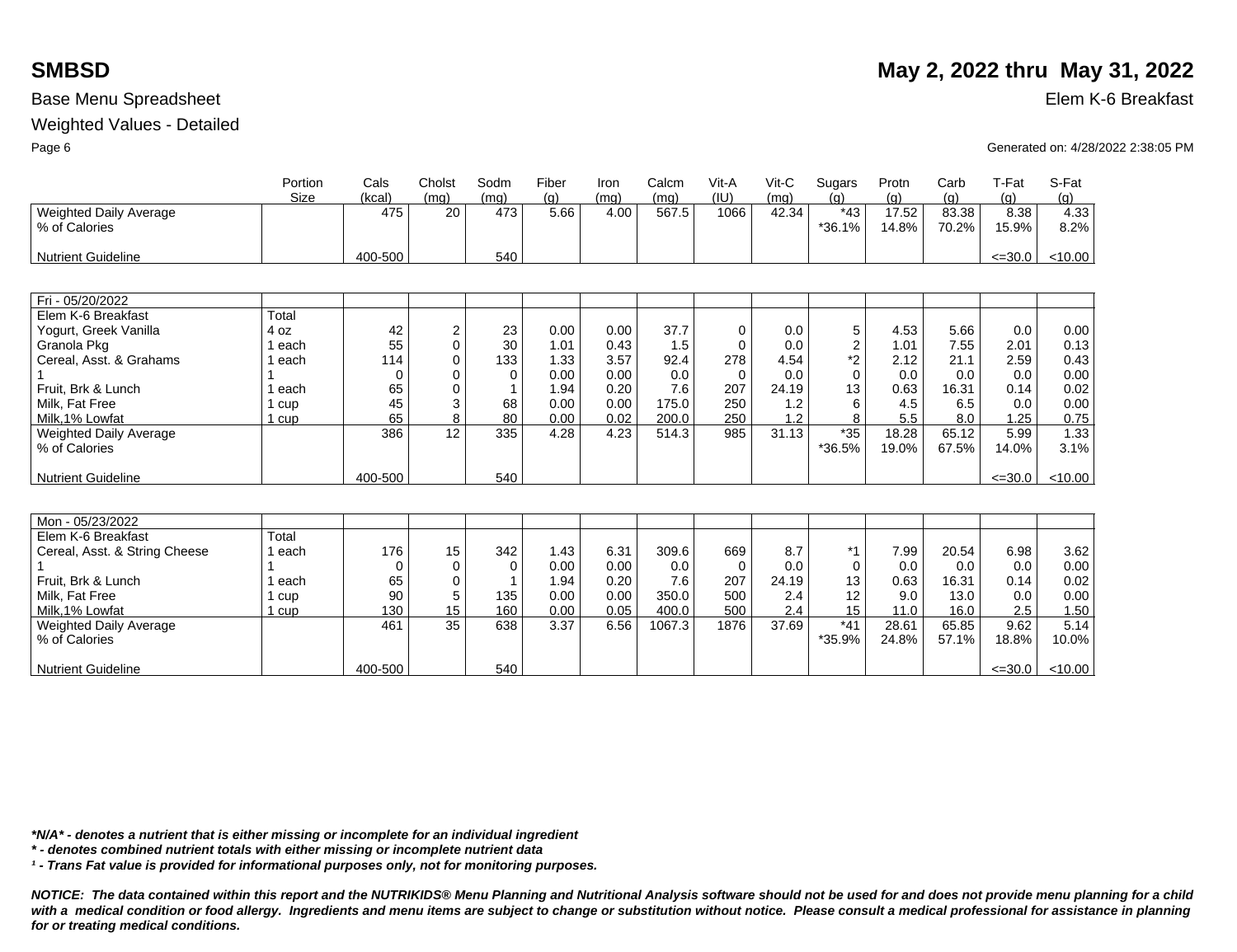### Weighted Values - Detailed

|                               | Portion      | Cals     | Cholst      | Sodm     | Fiber | Iron | Calcm  | Vit-A    | Vit-C | Sugars         | Protn | Carb  | T-Fat       | S-Fat   |
|-------------------------------|--------------|----------|-------------|----------|-------|------|--------|----------|-------|----------------|-------|-------|-------------|---------|
|                               | Size         | (kcal)   | (mq)        | (mq)     | (q)   | (mq) | (mq)   | (IU)     | (mq)  | (q)            | (q)   | (q)   | (q)         | (q)     |
| Weighted Daily Average        |              | 475      | 20          | 473      | 5.66  | 4.00 | 567.5  | 1066     | 42.34 | $*43$          | 17.52 | 83.38 | 8.38        | 4.33    |
| % of Calories                 |              |          |             |          |       |      |        |          |       | $*36.1%$       | 14.8% | 70.2% | 15.9%       | 8.2%    |
|                               |              |          |             |          |       |      |        |          |       |                |       |       |             |         |
| <b>Nutrient Guideline</b>     |              | 400-500  |             | 540      |       |      |        |          |       |                |       |       | $\leq 30.0$ | < 10.00 |
|                               |              |          |             |          |       |      |        |          |       |                |       |       |             |         |
| Fri - 05/20/2022              |              |          |             |          |       |      |        |          |       |                |       |       |             |         |
| Elem K-6 Breakfast            | Total        |          |             |          |       |      |        |          |       |                |       |       |             |         |
| Yogurt, Greek Vanilla         | 4 oz         | 42       | 2           | 23       | 0.00  | 0.00 | 37.7   | 0        | 0.0   | 5              | 4.53  | 5.66  | 0.0         | 0.00    |
| Granola Pkg                   | 1 each       | 55       | 0           | 30       | 1.01  | 0.43 | 1.5    | $\Omega$ | 0.0   | $\overline{2}$ | 1.01  | 7.55  | 2.01        | 0.13    |
| Cereal, Asst. & Grahams       | 1 each       | 114      | $\mathbf 0$ | 133      | 1.33  | 3.57 | 92.4   | 278      | 4.54  | $*2$           | 2.12  | 21.1  | 2.59        | 0.43    |
|                               |              | $\Omega$ | 0           | $\Omega$ | 0.00  | 0.00 | 0.0    | $\Omega$ | 0.0   | $\Omega$       | 0.0   | 0.0   | 0.0         | 0.00    |
| Fruit. Brk & Lunch            | 1 each       | 65       | $\Omega$    |          | 1.94  | 0.20 | 7.6    | 207      | 24.19 | 13             | 0.63  | 16.31 | 0.14        | 0.02    |
| Milk. Fat Free                | 1 cup        | 45       | 3           | 68       | 0.00  | 0.00 | 175.0  | 250      | 1.2   | 6              | 4.5   | 6.5   | 0.0         | 0.00    |
| Milk.1% Lowfat                | 1 cup        | 65       | 8           | 80       | 0.00  | 0.02 | 200.0  | 250      | 1.2   | 8              | 5.5   | 8.0   | 1.25        | 0.75    |
| <b>Weighted Daily Average</b> |              | 386      | 12          | 335      | 4.28  | 4.23 | 514.3  | 985      | 31.13 | $*35$          | 18.28 | 65.12 | 5.99        | 1.33    |
| % of Calories                 |              |          |             |          |       |      |        |          |       | *36.5%         | 19.0% | 67.5% | 14.0%       | 3.1%    |
|                               |              |          |             |          |       |      |        |          |       |                |       |       |             |         |
| <b>Nutrient Guideline</b>     |              | 400-500  |             | 540      |       |      |        |          |       |                |       |       | $\leq 30.0$ | < 10.00 |
|                               |              |          |             |          |       |      |        |          |       |                |       |       |             |         |
|                               |              |          |             |          |       |      |        |          |       |                |       |       |             |         |
| Mon - 05/23/2022              |              |          |             |          |       |      |        |          |       |                |       |       |             |         |
| Elem K-6 Breakfast            | Total        |          |             |          |       |      |        |          |       |                |       |       |             |         |
| Cereal, Asst. & String Cheese | 1 each       | 176      | 15          | 342      | 1.43  | 6.31 | 309.6  | 669      | 8.7   | $*1$           | 7.99  | 20.54 | 6.98        | 3.62    |
|                               |              | $\Omega$ | $\mathbf 0$ | $\Omega$ | 0.00  | 0.00 | 0.0    | $\Omega$ | 0.0   | $\Omega$       | 0.0   | 0.0   | 0.0         | 0.00    |
| Fruit. Brk & Lunch            | 1 each       | 65       | $\mathbf 0$ |          | 1.94  | 0.20 | 7.6    | 207      | 24.19 | 13             | 0.63  | 16.31 | 0.14        | 0.02    |
| Milk, Fat Free                | 1 cup        | 90       | 5           | 135      | 0.00  | 0.00 | 350.0  | 500      | 2.4   | 12             | 9.0   | 13.0  | 0.0         | 0.00    |
| Milk, 1% Lowfat               | <u>1 cup</u> | 130      | 15          | 160      | 0.00  | 0.05 | 400.0  | 500      | 2.4   | 15             | 11.0  | 16.0  | 2.5         | 1.50    |
| Weighted Daily Average        |              | 461      | 35          | 638      | 3.37  | 6.56 | 1067.3 | 1876     | 37.69 | $*41$          | 28.61 | 65.85 | 9.62        | 5.14    |
| % of Calories                 |              |          |             |          |       |      |        |          |       | *35.9%         | 24.8% | 57.1% | 18.8%       | 10.0%   |
|                               |              |          |             |          |       |      |        |          |       |                |       |       |             |         |
| <b>Nutrient Guideline</b>     |              | 400-500  |             | 540      |       |      |        |          |       |                |       |       | $\leq 30.0$ | < 10.00 |

*\*N/A\* - denotes a nutrient that is either missing or incomplete for an individual ingredient*

*\* - denotes combined nutrient totals with either missing or incomplete nutrient data*

*¹ - Trans Fat value is provided for informational purposes only, not for monitoring purposes.*

*NOTICE: The data contained within this report and the NUTRIKIDS® Menu Planning and Nutritional Analysis software should not be used for and does not provide menu planning for a child*  with a medical condition or food allergy. Ingredients and menu items are subject to change or substitution without notice. Please consult a medical professional for assistance in planning *for or treating medical conditions.*

# **SMBSD** May 2, 2022 thru May 31, 2022

Page 6 Generated on: 4/28/2022 2:38:05 PM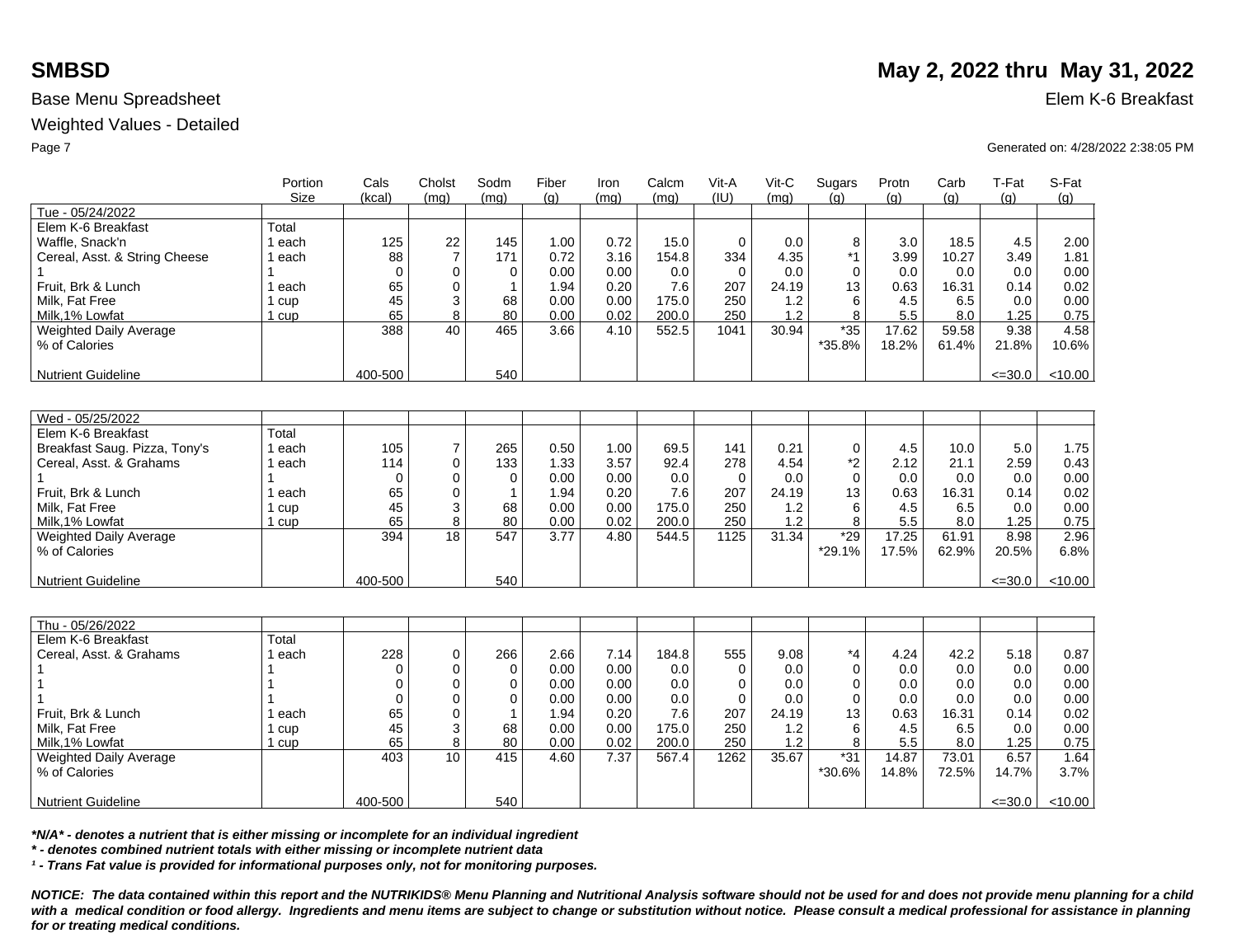### Weighted Values - Detailed

|                               | Portion   | Cals        | Cholst         | Sodm         | Fiber | Iron | Calcm | Vit-A    | Vit-C | Sugars      | Protn | Carb  | T-Fat       | S-Fat   |
|-------------------------------|-----------|-------------|----------------|--------------|-------|------|-------|----------|-------|-------------|-------|-------|-------------|---------|
|                               | Size      | (kcal)      | (mg)           | (mq)         | (q)   | (mq) | (mq)  | (IU)     | (mq)  | (q)         | (g)   | (q)   | (q)         | (g)     |
| Tue - 05/24/2022              |           |             |                |              |       |      |       |          |       |             |       |       |             |         |
| Elem K-6 Breakfast            | Total     |             |                |              |       |      |       |          |       |             |       |       |             |         |
| Waffle, Snack'n               | 1 each    | 125         | 22             | 145          | 1.00  | 0.72 | 15.0  | $\Omega$ | 0.0   | 8           | 3.0   | 18.5  | 4.5         | 2.00    |
| Cereal, Asst. & String Cheese | 1 each    | 88          | $\overline{7}$ | 171          | 0.72  | 3.16 | 154.8 | 334      | 4.35  | $*1$        | 3.99  | 10.27 | 3.49        | 1.81    |
|                               |           | $\Omega$    | $\Omega$       | 0            | 0.00  | 0.00 | 0.0   | $\Omega$ | 0.0   | $\Omega$    | 0.0   | 0.0   | 0.0         | 0.00    |
| Fruit, Brk & Lunch            | 1 each    | 65          | $\mathbf 0$    | $\mathbf{1}$ | 1.94  | 0.20 | 7.6   | 207      | 24.19 | 13          | 0.63  | 16.31 | 0.14        | 0.02    |
| Milk, Fat Free                | 1 cup     | 45          | 3              | 68           | 0.00  | 0.00 | 175.0 | 250      | 1.2   | 6           | 4.5   | 6.5   | 0.0         | 0.00    |
| Milk.1% Lowfat                | 1 cup     | 65          | 8              | 80           | 0.00  | 0.02 | 200.0 | 250      | 1.2   | 8           | 5.5   | 8.0   | 1.25        | 0.75    |
| Weighted Daily Average        |           | 388         | 40             | 465          | 3.66  | 4.10 | 552.5 | 1041     | 30.94 | $*35$       | 17.62 | 59.58 | 9.38        | 4.58    |
| % of Calories                 |           |             |                |              |       |      |       |          |       | *35.8%      | 18.2% | 61.4% | 21.8%       | 10.6%   |
| <b>Nutrient Guideline</b>     |           | 400-500     |                | 540          |       |      |       |          |       |             |       |       | $\leq 30.0$ | < 10.00 |
|                               |           |             |                |              |       |      |       |          |       |             |       |       |             |         |
| Wed - 05/25/2022              |           |             |                |              |       |      |       |          |       |             |       |       |             |         |
| Elem K-6 Breakfast            | Total     |             |                |              |       |      |       |          |       |             |       |       |             |         |
| Breakfast Saug. Pizza, Tony's | 1 each    | 105         | $\overline{7}$ | 265          | 0.50  | 1.00 | 69.5  | 141      | 0.21  | $\mathbf 0$ | 4.5   | 10.0  | 5.0         | 1.75    |
| Cereal, Asst. & Grahams       | 1 each    | 114         | $\mathbf 0$    | 133          | 1.33  | 3.57 | 92.4  | 278      | 4.54  | *2          | 2.12  | 21.1  | 2.59        | 0.43    |
|                               |           | $\mathbf 0$ | 0              | $\mathbf 0$  | 0.00  | 0.00 | 0.0   | $\Omega$ | 0.0   | $\mathbf 0$ | 0.0   | 0.0   | 0.0         | 0.00    |
| Fruit, Brk & Lunch            | 1 each    | 65          | $\mathbf 0$    | $\mathbf{1}$ | 1.94  | 0.20 | 7.6   | 207      | 24.19 | 13          | 0.63  | 16.31 | 0.14        | 0.02    |
| Milk. Fat Free                | 1 cup     | 45          | 3              | 68           | 0.00  | 0.00 | 175.0 | 250      | 1.2   | 6           | 4.5   | 6.5   | 0.0         | 0.00    |
| Milk, 1% Lowfat               | $1 \ncup$ | 65          | 8              | 80           | 0.00  | 0.02 | 200.0 | 250      | 1.2   | 8           | 5.5   | 8.0   | 1.25        | 0.75    |
| <b>Weighted Daily Average</b> |           | 394         | 18             | 547          | 3.77  | 4.80 | 544.5 | 1125     | 31.34 | $*29$       | 17.25 | 61.91 | 8.98        | 2.96    |
| % of Calories                 |           |             |                |              |       |      |       |          |       | $*29.1%$    | 17.5% | 62.9% | 20.5%       | 6.8%    |
| <b>Nutrient Guideline</b>     |           | 400-500     |                | 540          |       |      |       |          |       |             |       |       | $\leq 30.0$ | < 10.00 |
|                               |           |             |                |              |       |      |       |          |       |             |       |       |             |         |
| Thu - 05/26/2022              |           |             |                |              |       |      |       |          |       |             |       |       |             |         |
| Elem K-6 Breakfast            | Total     |             |                |              |       |      |       |          |       |             |       |       |             |         |
| Cereal, Asst. & Grahams       | 1 each    | 228         | $\mathbf 0$    | 266          | 2.66  | 7.14 | 184.8 | 555      | 9.08  | $*_{4}$     | 4.24  | 42.2  | 5.18        | 0.87    |
|                               |           | 0           | $\mathbf 0$    | $\mathbf 0$  | 0.00  | 0.00 | 0.0   | $\Omega$ | 0.0   | $\Omega$    | 0.0   | 0.0   | 0.0         | 0.00    |
|                               |           | $\mathbf 0$ | $\mathbf 0$    | $\mathbf 0$  | 0.00  | 0.00 | 0.0   | $\Omega$ | 0.0   | 0           | 0.0   | 0.0   | 0.0         | 0.00    |
|                               |           | $\mathbf 0$ | $\Omega$       | $\Omega$     | 0.00  | 0.00 | 0.0   | $\Omega$ | 0.0   | $\Omega$    | 0.0   | 0.0   | 0.0         | 0.00    |
| Fruit, Brk & Lunch            | 1 each    | 65          | 0              | $\mathbf{1}$ | 1.94  | 0.20 | 7.6   | 207      | 24.19 | 13          | 0.63  | 16.31 | 0.14        | 0.02    |
| Milk, Fat Free                | 1 cup     | 45          | 3              | 68           | 0.00  | 0.00 | 175.0 | 250      | 1.2   | 6           | 4.5   | 6.5   | 0.0         | 0.00    |
| Milk.1% Lowfat                | 1 cup     | 65          | 8              | 80           | 0.00  | 0.02 | 200.0 | 250      | 1.2   | 8           | 5.5   | 8.0   | 1.25        | 0.75    |
| <b>Weighted Daily Average</b> |           | 403         | 10             | 415          | 4.60  | 7.37 | 567.4 | 1262     | 35.67 | $*31$       | 14.87 | 73.01 | 6.57        | 1.64    |
| % of Calories                 |           |             |                |              |       |      |       |          |       | *30.6%      | 14.8% | 72.5% | 14.7%       | 3.7%    |
| <b>Nutrient Guideline</b>     |           | 400-500     |                | 540          |       |      |       |          |       |             |       |       | $\leq 30.0$ | < 10.00 |

*\*N/A\* - denotes a nutrient that is either missing or incomplete for an individual ingredient*

*\* - denotes combined nutrient totals with either missing or incomplete nutrient data*

*¹ - Trans Fat value is provided for informational purposes only, not for monitoring purposes.*

*NOTICE: The data contained within this report and the NUTRIKIDS® Menu Planning and Nutritional Analysis software should not be used for and does not provide menu planning for a child*  with a medical condition or food allergy. Ingredients and menu items are subject to change or substitution without notice. Please consult a medical professional for assistance in planning *for or treating medical conditions.*

# **SMBSD** May 2, 2022 thru May 31, 2022

Page 7 Generated on: 4/28/2022 2:38:05 PM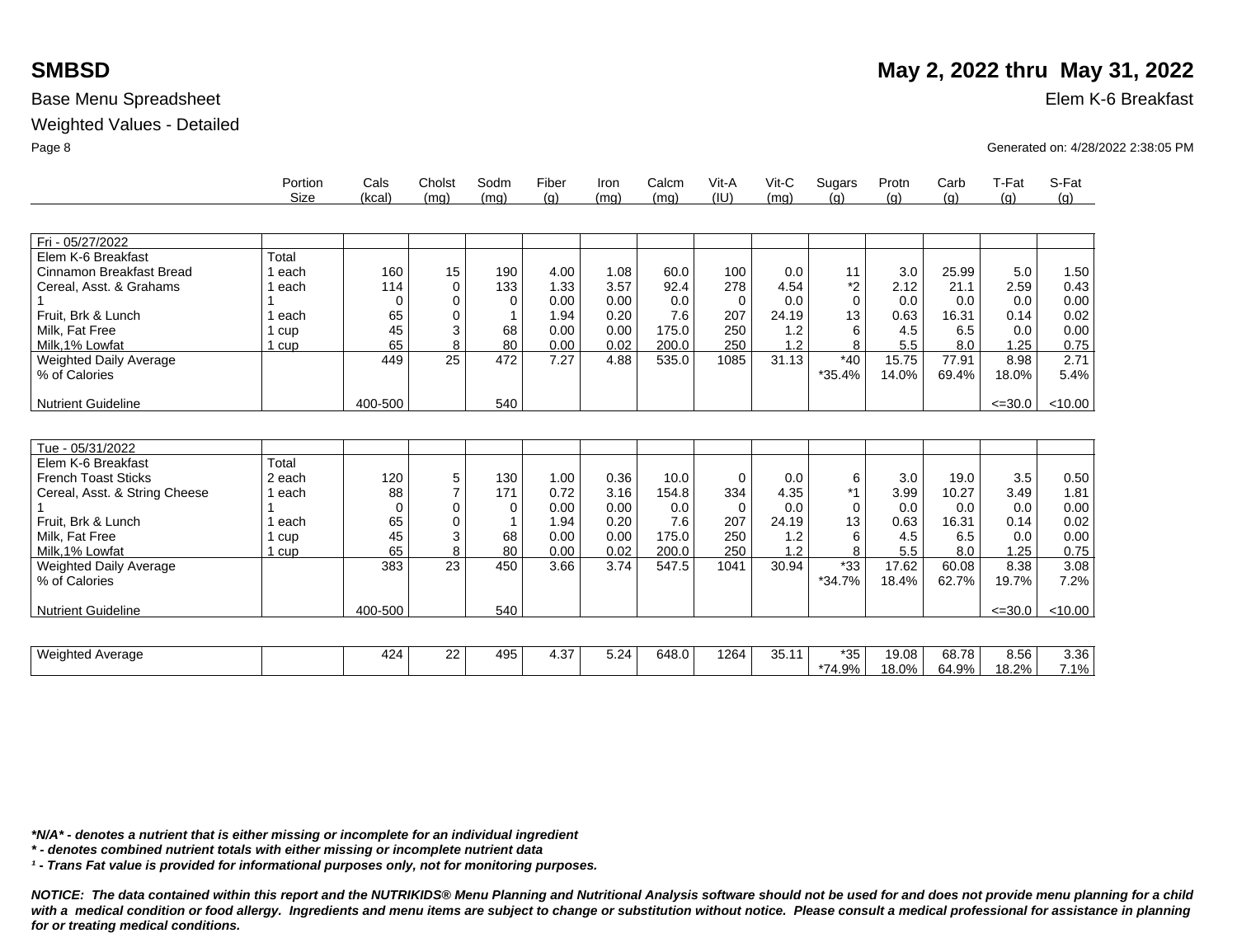## **SMBSD** May 2, 2022 thru May 31, 2022

### Weighted Values - Detailed

|                               | Portion     | Cals     | Cholst   | Sodm     | Fiber | Iron | Calcm | Vit-A    | $V$ it-C | Sugars   | Protn | Carb  | T-Fat       | S-Fat   |
|-------------------------------|-------------|----------|----------|----------|-------|------|-------|----------|----------|----------|-------|-------|-------------|---------|
|                               | <b>Size</b> | (kcal)   | (mq)     | (mq)     | (q)   | (mq) | (mq)  | (IU)     | (mq)     | (a)      | (q)   | (g)   | (g)         | (g)     |
|                               |             |          |          |          |       |      |       |          |          |          |       |       |             |         |
| Fri - 05/27/2022              |             |          |          |          |       |      |       |          |          |          |       |       |             |         |
| Elem K-6 Breakfast            | Total       |          |          |          |       |      |       |          |          |          |       |       |             |         |
| Cinnamon Breakfast Bread      | 1 each      | 160      | 15       | 190      | 4.00  | 1.08 | 60.0  | 100      | 0.0      | 11       | 3.0   | 25.99 | 5.0         | 1.50    |
| Cereal, Asst. & Grahams       | each        | 114      | $\Omega$ | 133      | 1.33  | 3.57 | 92.4  | 278      | 4.54     | *2       | 2.12  | 21.1  | 2.59        | 0.43    |
|                               |             | $\Omega$ | 0        | $\Omega$ | 0.00  | 0.00 | 0.0   | $\Omega$ | 0.0      | $\Omega$ | 0.0   | 0.0   | 0.0         | 0.00    |
| Fruit, Brk & Lunch            | l each      | 65       | 0        |          | 1.94  | 0.20 | 7.6   | 207      | 24.19    | 13       | 0.63  | 16.31 | 0.14        | 0.02    |
| Milk, Fat Free                | l cup       | 45       | 3        | 68       | 0.00  | 0.00 | 175.0 | 250      | 1.2      | 6        | 4.5   | 6.5   | 0.0         | 0.00    |
| Milk.1% Lowfat                | 1 cup       | 65       | 8        | 80       | 0.00  | 0.02 | 200.0 | 250      | 1.2      | 8        | 5.5   | 8.0   | 1.25        | 0.75    |
| <b>Weighted Daily Average</b> |             | 449      | 25       | 472      | 7.27  | 4.88 | 535.0 | 1085     | 31.13    | $*40$    | 15.75 | 77.91 | 8.98        | 2.71    |
| % of Calories                 |             |          |          |          |       |      |       |          |          | *35.4%   | 14.0% | 69.4% | 18.0%       | 5.4%    |
| <b>Nutrient Guideline</b>     |             | 400-500  |          | 540      |       |      |       |          |          |          |       |       | $\leq 30.0$ | < 10.00 |
|                               |             |          |          |          |       |      |       |          |          |          |       |       |             |         |
|                               |             |          |          |          |       |      |       |          |          |          |       |       |             |         |
| Tue - 05/31/2022              |             |          |          |          |       |      |       |          |          |          |       |       |             |         |
| Elem K-6 Breakfast            | Total       |          |          |          |       |      |       |          |          |          |       |       |             |         |
| <b>French Toast Sticks</b>    | 2 each      | 120      | 5        | 130      | 1.00  | 0.36 | 10.0  | $\Omega$ | 0.0      | 6        | 3.0   | 19.0  | 3.5         | 0.50    |
| Cereal, Asst. & String Cheese | 1 each      | 88       |          | 171      | 0.72  | 3.16 | 154.8 | 334      | 4.35     | $*1$     | 3.99  | 10.27 | 3.49        | 1.81    |
|                               |             | $\Omega$ | $\Omega$ | $\Omega$ | 0.00  | 0.00 | 0.0   | $\Omega$ | 0.0      | $\Omega$ | 0.0   | 0.0   | 0.0         | 0.00    |
| Fruit, Brk & Lunch            | ∣ each      | 65       | $\Omega$ |          | 1.94  | 0.20 | 7.6   | 207      | 24.19    | 13       | 0.63  | 16.31 | 0.14        | 0.02    |
| Milk. Fat Free                | cup         | 45       | 3        | 68       | 0.00  | 0.00 | 175.0 | 250      | 1.2      | 6        | 4.5   | 6.5   | 0.0         | 0.00    |
| Milk.1% Lowfat                | l cup       | 65       | 8        | 80       | 0.00  | 0.02 | 200.0 | 250      | 1.2      | 8        | 5.5   | 8.0   | 1.25        | 0.75    |
| Weighted Daily Average        |             | 383      | 23       | 450      | 3.66  | 3.74 | 547.5 | 1041     | 30.94    | $*33$    | 17.62 | 60.08 | 8.38        | 3.08    |
| % of Calories                 |             |          |          |          |       |      |       |          |          | *34.7%   | 18.4% | 62.7% | 19.7%       | 7.2%    |
|                               |             |          |          |          |       |      |       |          |          |          |       |       |             |         |
| <b>Nutrient Guideline</b>     |             | 400-500  |          | 540      |       |      |       |          |          |          |       |       | $\leq 30.0$ | < 10.00 |
|                               |             |          |          |          |       |      |       |          |          |          |       |       |             |         |
| <b>Weighted Average</b>       |             | 424      | 22       | 495      | 4.37  | 5.24 | 648.0 | 1264     | 35.11    | $*35$    | 19.08 | 68.78 | 8.56        | 3.36    |
|                               |             |          |          |          |       |      |       |          |          | *74.9%   | 18.0% | 64.9% | 18.2%       | 7.1%    |

Base Menu Spreadsheet **Elem K-6 Breakfast** 

Page 8 Generated on: 4/28/2022 2:38:05 PM

*\*N/A\* - denotes a nutrient that is either missing or incomplete for an individual ingredient*

*\* - denotes combined nutrient totals with either missing or incomplete nutrient data*

*¹ - Trans Fat value is provided for informational purposes only, not for monitoring purposes.*

*NOTICE: The data contained within this report and the NUTRIKIDS® Menu Planning and Nutritional Analysis software should not be used for and does not provide menu planning for a child*  with a medical condition or food allergy. Ingredients and menu items are subject to change or substitution without notice. Please consult a medical professional for assistance in planning *for or treating medical conditions.*